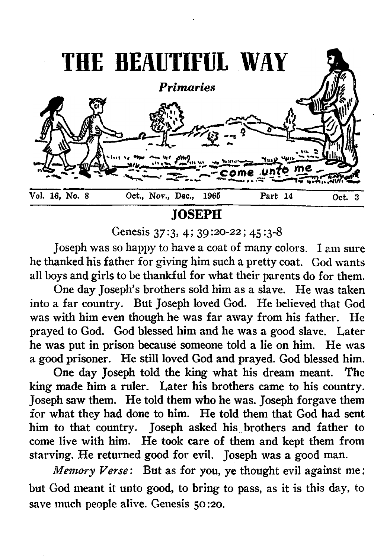

Genesis 37:3, 4; 39:20-22; 45:3-8

Joseph was so happy to have a coat of many colors. I am sure he thanked his father for giving him such a pretty coat. God wants all boys and girls to be thankful for what their parents do for them.

One day Joseph's brothers sold him as a slave. He was taken into a far country. But Joseph loved God. He believed that God was with him even though he was far away from his father. He prayed to God. God blessed him and he was a good slave. Later he was put in prison because someone told a lie on him. He was a good prisoner. He still loved God and prayed. God blessed him.

One day Joseph told the king what his dream meant. The king made him a ruler. Later his brothers came to his country. Joseph saw them. He told them who he was. Joseph forgave them for what they had done to him. He told them that God had sent him to that country. Joseph asked his brothers and father to come live with him. He took care of them and kept them from starving. He returned good for evil. Joseph was a good man.

*Memory Verse*: But as for you, ye thought evil against me ; but God meant it unto good, to bring to pass, as it is this day, to save much people alive. Genesis 50:20.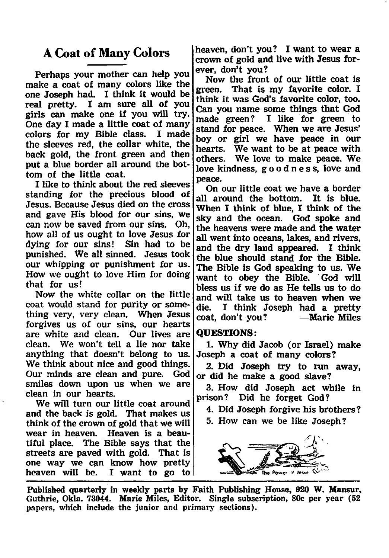# **A Coat of Many Colors**

Perhaps your mother can help you make a coat of many colors like the one Joseph had. I think it would be real pretty. I am sure all of you girls can make one if you will try. One day I made a little coat of many colors for my Bible class. I made the sleeves red, the collar white, the back gold, the front green and then put a blue border all around the bottom of the little coat.

I like to think about the red sleeves standing for the precious blood of Jesus. Because Jesus died on the cross and gave His blood for our sins, we can now be saved from our sins. Oh, how all of us ought to love Jesus for dying for our sins! Sin had to be punished. We all sinned. Jesus took our whipping or punishment for us. How we ought to love Him for doing that for us!

Now the white collar on the little coat would stand for purity or something very, very clean. When Jesus forgives us of our sins, our hearts are white and clean. Our lives are clean. We won't tell a lie nor take anything that doesn't belong to us. We think about nice and good things. Our minds are clean and pure. God smiles down upon us when we are clean in our hearts.

We will turn our little coat around and the back is gold. That makes us think of the crown of gold that we will wear in heaven. Heaven is a beautiful place. The Bible says that the streets are paved with gold. That is one way we can know how pretty heaven will be. I want to go to

heaven, don't you? I want to wear a crown of gold and live with Jesus forever, don't you?

Now the front of our little coat is green. That is my favorite color. I think it was God's favorite color, too. Can you name some things that God made green ? I like for green to stand for peace. When we are Jesus' boy or girl we have peace in our hearts. We want to be at peace with others. We love to make peace. We love kindness, goodness, love and peace.

On our little coat we have a border all around the bottom. It is blue. When I think of blue, I think of the sky and the ocean. God spoke and the heavens were made and the water all went into oceans, lakes, and rivers, and the dry land appeared. I think the blue should stand for the Bible. The Bible is God speaking to us. We want to obey the Bible. God will bless us if we do as He tells us to do and will take us to heaven when we die. I think Joseph had a pretty<br>coat.don't you? — Marie Miles coat, don't you?

#### QUESTIONS:

1. Why did Jacob (or Israel) make Joseph a coat of many colors?

2. Did Joseph try to run away, or did he make a good slave?

3. How did Joseph act while in prison? Did he forget God?

4. Did Joseph forgive his brothers?

5. How can we be like Joseph?



Published quarterly in weekly parts by Faith Publishing House, 920 W. Mansur, Guthrie, Okla. 73044. Marie Miles, Editor. Single subscription, 80c per year (52 papers, which include the junior and primary sections).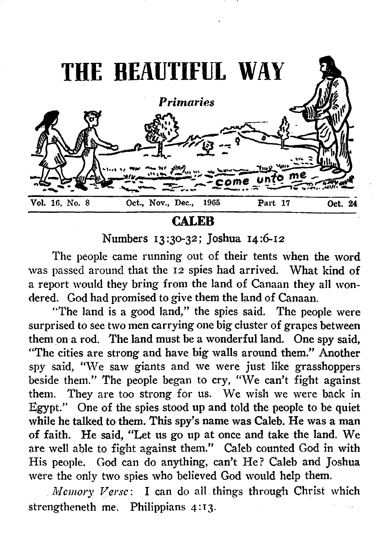

# **CALEB**

Numbers 13:30 -32; Joshua 14:6-12

The people came running out of their tents when the word was passed around that the 12 spies had arrived. What kind of a report would they bring from the land of Canaan they all wondered. God had promised to give them the land of Canaan.

"The land is a good land," the spies said. The people were surprised to see two men carrying one big cluster of grapes between them on a rod. The land must be a wonderful land. One spy said, "The cities are strong and have big walls around them." Another spy said, " We saw giants and we were just like grasshoppers beside them." The people began to cry, " We can't fight against them. They are too strong for us. We wish we were back in Egypt." One of the spies stood up and told the people to be quiet while he talked to them. This spy's name was Caleb. He was a man of faith. He said, " Let us go up at once and take the land. We are well able to fight against them." Caleb counted God in with His people. God can do anything, can't He? Caleb and Joshua were the only two spies who believed God would help them.

*Memory Verse:* I can do all things through Christ which strengtheneth me. Philippians 4:13.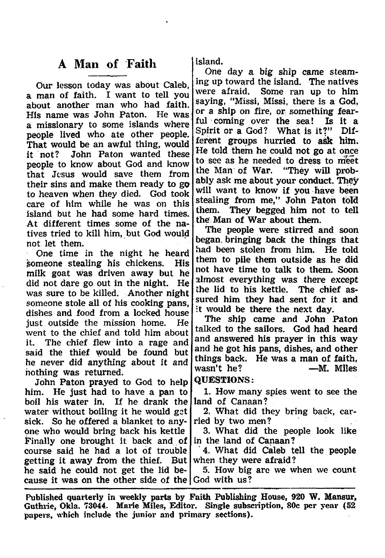### **A Man of Faith**

Our lesson today was about Caleb, a man of faith. I want to tell you about another man who had faith. His name was John Paton. a missionary to some islands where people lived who ate other people. That would be an awful thing, would<br>it not? John Paton wanted these John Paton wanted these people to know about God and know that Jesus would save them from their sins and make them ready to go to heaven when they died. God took care of him while he was on this island but he had some hard times. At different times some of the natives tried to kill him, but God would not let them.

One time in the night he heard<br>meone stealing his chickens. His someone stealing his chickens. milk goat was driven away but he did not dare go out in the night. He was sure to be killed. Another night someone stole all of his cooking pans, dishes and food from a locked house just outside the mission home. He went to the chief and told him about it. The chief flew into a rage and said the thief would be found but he never did anything about it and nothing was returned.

John Paton prayed to God to help him. He just had to have a pan to boil his water in. If he drank the boil his water in. water without boiling it he would get sick. So he offered a blanket to anyone who would bring back his kettle Finally one brought it back and of course said he had a lot of trouble getting it away from the thief. But he said he could not get the lid because it was on the other side of the God with us?

island.

One day a big ship came steaming up toward the island. The natives Some ran up to him saying, "Missi, Missi, there is a God, or a ship on fire, or something fear-<br>ful coming over the sea! Is it a ful coming over the sea! Is it a<br>Spirit or a God? What is it?" Dif-Spirit or a God? ferent groups hurried to ask him. He told them he could not go at once to see as he needed to dress to meet<br>the Man of War. "They will probthe Man of War. ably ask me about your conduct. They will want to know if you have been stealing from me," John Paton told<br>them. They begged him not to tell They begged him not to tell the Man of War about them.

The people were stirred and soon began bringing back the things that<br>had been stolen from him. He told had been stolen from him. them to pile them outside as he did not have time to talk to them. Soon almost everything was there except the lid to his kettle. The chief assured him they had sent for it and it would be there the next day.

The ship came and John Paton talked to the sailors. God had heard and answered his prayer in this way and he got his pans, dishes, and other things back. He was a man of faith, wasn't he?

QUESTIONS:

1. How many spies went to see the land of Canaan?

2. What did they bring back, carried by two men?

3. What did the people look like in the land of Canaan?

4. What did Caleb tell the people when they were afraid?

5. How big are we when we count

Published quarterly in weekly parts by Faith Publishing House, 920 W. Mansur, Guthrie, Okla. 73044. Marie Miles, Editor. Single subscription, 80c per year (52 papers, which include the junior and primary sections).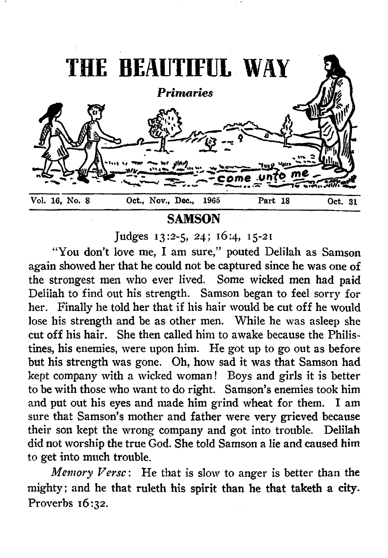

Judges 13:2-5, 24; 16:4, 15-21

"You don't love me, I am sure," pouted Delilah as Samson again showed her that he could not be captured since he was one of the strongest men who ever lived. Some wicked men had paid Delilah to find out his strength. Samson began to feel sorry for her. Finally he told her that if his hair would be cut off he would lose his strength and be as other men. While he was asleep she cut off his hair. She then called him to awake because the Philistines, his enemies, were upon him. He got up to go out as before but his strength was gone. Oh, how sad it was that Samson had kept company with a wicked woman! Boys and girls it is better to be with those who want to do right. Samson's enemies took him and put out his eyes and made him grind wheat for them. I am sure that Samson's mother and father were very grieved because their son kept the wrong company and got into trouble. Delilah did not worship the true God. She told Samson a lie and caused him to get into much trouble.

*Memory Verse*: He that is slow to anger is better than the mighty; and he that ruleth his spirit than he that taketh a city. Proverbs 16:32.